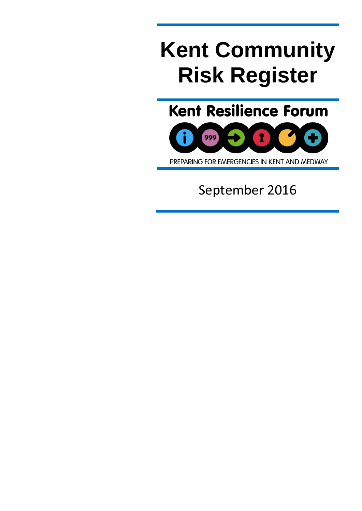# **Kent Community Risk Register**

**Kent Resilience Forum** 



PREPARING FOR EMERGENCIES IN KENT AND MEDWAY

September 2016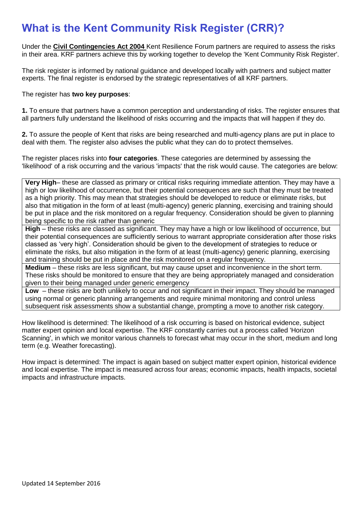# **What is the Kent Community Risk Register (CRR)?**

Under the **[Civil Contingencies Act 2004](http://www.legislation.gov.uk/ukpga/2004/36/contents)** Kent Resilience Forum partners are required to assess the risks in their area. KRF partners achieve this by working together to develop the 'Kent Community Risk Register'.

The risk register is informed by national guidance and developed locally with partners and subject matter experts. The final register is endorsed by the strategic representatives of all KRF partners.

#### The register has **two key purposes**:

**1.** To ensure that partners have a common perception and understanding of risks. The register ensures that all partners fully understand the likelihood of risks occurring and the impacts that will happen if they do.

**2.** To assure the people of Kent that risks are being researched and multi-agency plans are put in place to deal with them. The register also advises the public what they can do to protect themselves.

The register places risks into **four categories**. These categories are determined by assessing the 'likelihood' of a risk occurring and the various 'impacts' that the risk would cause. The categories are below:

**Very High**– these are classed as primary or critical risks requiring immediate attention. They may have a high or low likelihood of occurrence, but their potential consequences are such that they must be treated as a high priority. This may mean that strategies should be developed to reduce or eliminate risks, but also that mitigation in the form of at least (multi-agency) generic planning, exercising and training should be put in place and the risk monitored on a regular frequency. Consideration should be given to planning being specific to the risk rather than generic

**High** – these risks are classed as significant. They may have a high or low likelihood of occurrence, but their potential consequences are sufficiently serious to warrant appropriate consideration after those risks classed as 'very high'. Consideration should be given to the development of strategies to reduce or eliminate the risks, but also mitigation in the form of at least (multi-agency) generic planning, exercising and training should be put in place and the risk monitored on a regular frequency.

**Medium** – these risks are less significant, but may cause upset and inconvenience in the short term. These risks should be monitored to ensure that they are being appropriately managed and consideration given to their being managed under generic emergency

**Low** – these risks are both unlikely to occur and not significant in their impact. They should be managed using normal or generic planning arrangements and require minimal monitoring and control unless subsequent risk assessments show a substantial change, prompting a move to another risk category.

How likelihood is determined: The likelihood of a risk occurring is based on historical evidence, subject matter expert opinion and local expertise. The KRF constantly carries out a process called 'Horizon Scanning', in which we monitor various channels to forecast what may occur in the short, medium and long term (e.g. Weather forecasting).

How impact is determined: The impact is again based on subject matter expert opinion, historical evidence and local expertise. The impact is measured across four areas; economic impacts, health impacts, societal impacts and infrastructure impacts.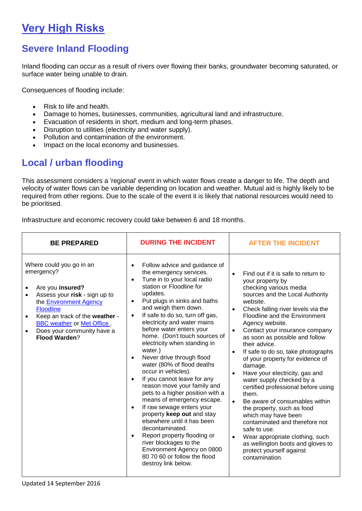# **Very High Risks**

# **Severe Inland Flooding**

Inland flooding can occur as a result of rivers over flowing their banks, groundwater becoming saturated, or surface water being unable to drain.

Consequences of flooding include:

- Risk to life and health.
- Damage to homes, businesses, communities, agricultural land and infrastructure.
- Evacuation of residents in short, medium and long-term phases.
- Disruption to utilities (electricity and water supply).
- Pollution and contamination of the environment.
- Impact on the local economy and businesses.

## **Local / urban flooding**

This assessment considers a 'regional' event in which water flows create a danger to life. The depth and velocity of water flows can be variable depending on location and weather. Mutual aid is highly likely to be required from other regions. Due to the scale of the event it is likely that national resources would need to be prioritised.

Infrastructure and economic recovery could take between 6 and 18 months.

| <b>BE PREPARED</b>                                                                                                                                                                                                                                                                  | <b>DURING THE INCIDENT</b>                                                                                                                                                                                                                                                                                                                                                                                                                                                                                                                                                                                                                                                                                                                                                                                                                                                                                      | <b>AFTER THE INCIDENT</b>                                                                                                                                                                                                                                                                                                                                                                                                                                                                                                                                                                                                                                                                                                                                                                                                                                                     |  |
|-------------------------------------------------------------------------------------------------------------------------------------------------------------------------------------------------------------------------------------------------------------------------------------|-----------------------------------------------------------------------------------------------------------------------------------------------------------------------------------------------------------------------------------------------------------------------------------------------------------------------------------------------------------------------------------------------------------------------------------------------------------------------------------------------------------------------------------------------------------------------------------------------------------------------------------------------------------------------------------------------------------------------------------------------------------------------------------------------------------------------------------------------------------------------------------------------------------------|-------------------------------------------------------------------------------------------------------------------------------------------------------------------------------------------------------------------------------------------------------------------------------------------------------------------------------------------------------------------------------------------------------------------------------------------------------------------------------------------------------------------------------------------------------------------------------------------------------------------------------------------------------------------------------------------------------------------------------------------------------------------------------------------------------------------------------------------------------------------------------|--|
| Where could you go in an<br>emergency?<br>Are you insured?<br>Assess your risk - sign up to<br>the Environment Agency<br><b>Floodline</b><br>Keep an track of the weather -<br>$\bullet$<br><b>BBC</b> weather or Met Office.<br>Does your community have a<br><b>Flood Warden?</b> | Follow advice and guidance of<br>$\bullet$<br>the emergency services.<br>Tune in to your local radio<br>$\bullet$<br>station or Floodline for<br>updates.<br>Put plugs in sinks and baths<br>$\bullet$<br>and weigh them down.<br>If safe to do so, turn off gas,<br>$\bullet$<br>electricity and water mains<br>before water enters your<br>home. (Don't touch sources of<br>electricity when standing in<br>water.)<br>Never drive through flood<br>water (80% of flood deaths<br>occur in vehicles).<br>If you cannot leave for any<br>reason move your family and<br>pets to a higher position with a<br>means of emergency escape.<br>If raw sewage enters your<br>$\bullet$<br>property keep out and stay<br>elsewhere until it has been<br>decontaminated.<br>Report property flooding or<br>river blockages to the<br>Environment Agency on 0800<br>80 70 60 or follow the flood<br>destroy link below. | Find out if it is safe to return to<br>$\bullet$<br>your property by<br>checking various media<br>sources and the Local Authority<br>website.<br>Check falling river levels via the<br>$\bullet$<br>Floodline and the Environment<br>Agency website.<br>Contact your insurance company<br>$\bullet$<br>as soon as possible and follow<br>their advice.<br>If safe to do so, take photographs<br>$\bullet$<br>of your property for evidence of<br>damage.<br>Have your electricity, gas and<br>$\bullet$<br>water supply checked by a<br>certified professional before using<br>them.<br>Be aware of consumables within<br>$\bullet$<br>the property, such as food<br>which may have been<br>contaminated and therefore not<br>safe to use.<br>Wear appropriate clothing, such<br>$\bullet$<br>as wellington boots and gloves to<br>protect yourself against<br>contamination. |  |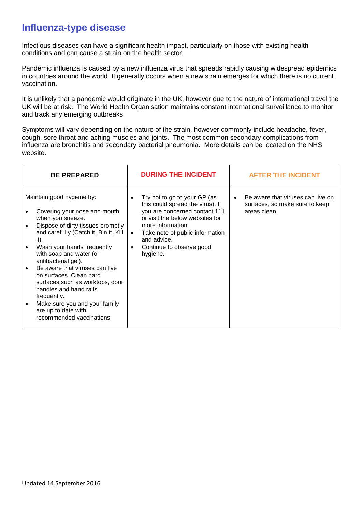### **Influenza-type disease**

Infectious diseases can have a significant health impact, particularly on those with existing health conditions and can cause a strain on the health sector.

Pandemic influenza is caused by a new influenza virus that spreads rapidly causing widespread epidemics in countries around the world. It generally occurs when a new strain emerges for which there is no current vaccination.

It is unlikely that a pandemic would originate in the UK, however due to the nature of international travel the UK will be at risk. The World Health Organisation maintains constant international surveillance to monitor and track any emerging outbreaks.

Symptoms will vary depending on the nature of the strain, however commonly include headache, fever, cough, sore throat and aching muscles and joints. The most common secondary complications from influenza are bronchitis and secondary bacterial pneumonia. More details can be located on the NHS website.

| Maintain good hygiene by:<br>Try not to go to your GP (as<br>$\bullet$<br>$\bullet$<br>this could spread the virus). If<br>you are concerned contact 111<br>areas clean.<br>Covering your nose and mouth<br>or visit the below websites for<br>when you sneeze.                                                                                                                                                                                                                                                                           | <b>BE PREPARED</b> | <b>DURING THE INCIDENT</b> | <b>AFTER THE INCIDENT</b>                                           |  |  |
|-------------------------------------------------------------------------------------------------------------------------------------------------------------------------------------------------------------------------------------------------------------------------------------------------------------------------------------------------------------------------------------------------------------------------------------------------------------------------------------------------------------------------------------------|--------------------|----------------------------|---------------------------------------------------------------------|--|--|
| more information.<br>Dispose of dirty tissues promptly<br>and carefully (Catch it, Bin it, Kill<br>Take note of public information<br>$\bullet$<br>and advice.<br>it).<br>Wash your hands frequently<br>Continue to observe good<br>$\bullet$<br>with soap and water (or<br>hygiene.<br>antibacterial gel).<br>Be aware that viruses can live<br>on surfaces. Clean hard<br>surfaces such as worktops, door<br>handles and hand rails<br>frequently.<br>Make sure you and your family<br>are up to date with<br>recommended vaccinations. |                    |                            | Be aware that viruses can live on<br>surfaces, so make sure to keep |  |  |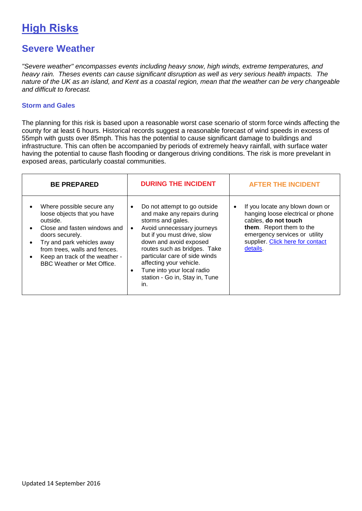# **High Risks**

### **Severe Weather**

*"Severe weather" encompasses events including heavy snow, high winds, extreme temperatures, and heavy rain. Theses events can cause significant disruption as well as very serious health impacts. The nature of the UK as an island, and Kent as a coastal region, mean that the weather can be very changeable and difficult to forecast.*

#### **Storm and Gales**

The planning for this risk is based upon a reasonable worst case scenario of storm force winds affecting the county for at least 6 hours. Historical records suggest a reasonable forecast of wind speeds in excess of 55mph with gusts over 85mph. This has the potential to cause significant damage to buildings and infrastructure. This can often be accompanied by periods of extremely heavy rainfall, with surface water having the potential to cause flash flooding or dangerous driving conditions. The risk is more prevelant in exposed areas, particularly coastal communities.

| <b>BE PREPARED</b>                                                                                                                                                                                                                                            | <b>DURING THE INCIDENT</b>                                                                                                                                                                                                                                                                                                                                                        | <b>AFTER THE INCIDENT</b>                                                                                                                                                                                      |
|---------------------------------------------------------------------------------------------------------------------------------------------------------------------------------------------------------------------------------------------------------------|-----------------------------------------------------------------------------------------------------------------------------------------------------------------------------------------------------------------------------------------------------------------------------------------------------------------------------------------------------------------------------------|----------------------------------------------------------------------------------------------------------------------------------------------------------------------------------------------------------------|
| Where possible secure any<br>loose objects that you have<br>outside.<br>Close and fasten windows and<br>doors securely.<br>Try and park vehicles away<br>from trees, walls and fences.<br>Keep an track of the weather -<br><b>BBC Weather or Met Office.</b> | Do not attempt to go outside<br>$\bullet$<br>and make any repairs during<br>storms and gales.<br>Avoid unnecessary journeys<br>$\bullet$<br>but if you must drive, slow<br>down and avoid exposed<br>routes such as bridges. Take<br>particular care of side winds<br>affecting your vehicle.<br>Tune into your local radio<br>$\bullet$<br>station - Go in, Stay in, Tune<br>in. | If you locate any blown down or<br>٠<br>hanging loose electrical or phone<br>cables, do not touch<br>them. Report them to the<br>emergency services or utility<br>supplier. Click here for contact<br>details. |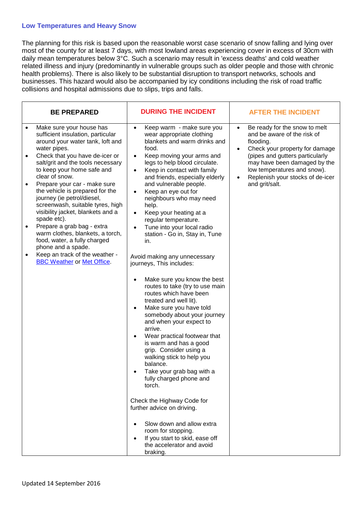#### **Low Temperatures and Heavy Snow**

The planning for this risk is based upon the reasonable worst case scenario of snow falling and lying over most of the county for at least 7 days, with most lowland areas experiencing cover in excess of 30cm with daily mean temperatures below 3°C. Such a scenario may result in 'excess deaths' and cold weather related illness and injury (predominantly in vulnerable groups such as older people and those with chronic health problems). There is also likely to be substantial disruption to transport networks, schools and businesses. This hazard would also be accompanied by icy conditions including the risk of road traffic collisions and hospital admissions due to slips, trips and falls.

| <b>BE PREPARED</b>                                                                                                                                                                                                               | <b>DURING THE INCIDENT</b>                                                                                                                                                                                                                                                                                                                                                                                                                                                                 | <b>AFTER THE INCIDENT</b>                                                                                                          |  |  |
|----------------------------------------------------------------------------------------------------------------------------------------------------------------------------------------------------------------------------------|--------------------------------------------------------------------------------------------------------------------------------------------------------------------------------------------------------------------------------------------------------------------------------------------------------------------------------------------------------------------------------------------------------------------------------------------------------------------------------------------|------------------------------------------------------------------------------------------------------------------------------------|--|--|
| Make sure your house has<br>$\bullet$<br>sufficient insulation, particular<br>around your water tank, loft and<br>water pipes.                                                                                                   | Keep warm - make sure you<br>$\bullet$<br>wear appropriate clothing<br>blankets and warm drinks and<br>food.                                                                                                                                                                                                                                                                                                                                                                               | Be ready for the snow to melt<br>and be aware of the risk of<br>flooding.<br>Check your property for damage<br>$\bullet$           |  |  |
| Check that you have de-icer or<br>$\bullet$<br>salt/grit and the tools necessary<br>to keep your home safe and<br>clear of snow.                                                                                                 | Keep moving your arms and<br>$\bullet$<br>legs to help blood circulate.<br>Keep in contact with family<br>٠<br>and friends, especially elderly                                                                                                                                                                                                                                                                                                                                             | (pipes and gutters particularly<br>may have been damaged by the<br>low temperatures and snow).<br>Replenish your stocks of de-icer |  |  |
| Prepare your car - make sure<br>the vehicle is prepared for the<br>journey (ie petrol/diesel,<br>screenwash, suitable tyres, high<br>visibility jacket, blankets and a<br>spade etc).<br>Prepare a grab bag - extra<br>$\bullet$ | and vulnerable people.<br>Keep an eye out for<br>$\bullet$<br>neighbours who may need<br>help.<br>Keep your heating at a<br>$\bullet$<br>regular temperature.<br>Tune into your local radio<br>$\bullet$                                                                                                                                                                                                                                                                                   | and grit/salt.                                                                                                                     |  |  |
| warm clothes, blankets, a torch,<br>food, water, a fully charged<br>phone and a spade.                                                                                                                                           | station - Go in, Stay in, Tune<br>in.                                                                                                                                                                                                                                                                                                                                                                                                                                                      |                                                                                                                                    |  |  |
| Keep an track of the weather -<br>$\bullet$<br><b>BBC Weather or Met Office.</b>                                                                                                                                                 | Avoid making any unnecessary<br>journeys, This includes:                                                                                                                                                                                                                                                                                                                                                                                                                                   |                                                                                                                                    |  |  |
|                                                                                                                                                                                                                                  | Make sure you know the best<br>routes to take (try to use main<br>routes which have been<br>treated and well lit).<br>Make sure you have told<br>$\bullet$<br>somebody about your journey<br>and when your expect to<br>arrive.<br>Wear practical footwear that<br>is warm and has a good<br>grip. Consider using a<br>walking stick to help you<br>balance.<br>Take your grab bag with a<br>fully charged phone and<br>torch.<br>Check the Highway Code for<br>further advice on driving. |                                                                                                                                    |  |  |
|                                                                                                                                                                                                                                  | Slow down and allow extra<br>$\bullet$<br>room for stopping.<br>If you start to skid, ease off<br>$\bullet$<br>the accelerator and avoid<br>braking.                                                                                                                                                                                                                                                                                                                                       |                                                                                                                                    |  |  |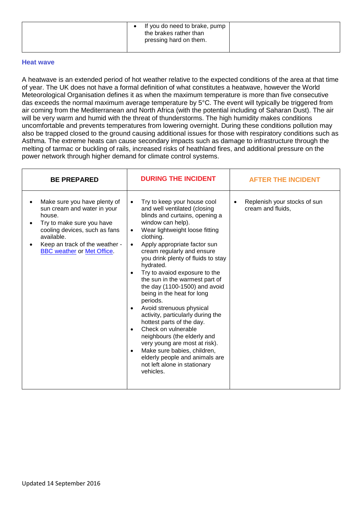| If you do need to brake, pump<br>the brakes rather than<br>pressing hard on them. |
|-----------------------------------------------------------------------------------|
|-----------------------------------------------------------------------------------|

#### **Heat wave**

A heatwave is an extended period of hot weather relative to the expected conditions of the area at that time of year. The UK does not have a formal definition of what constitutes a heatwave, however the World Meteorological Organisation defines it as when the maximum temperature is more than five consecutive das exceeds the normal maximum average temperature by 5°C. The event will typically be triggered from air coming from the Mediterranean and North Africa (with the potential including of Saharan Dust). The air will be very warm and humid with the threat of thunderstorms. The high humidity makes conditions uncomfortable and prevents temperatures from lowering overnight. During these conditions pollution may also be trapped closed to the ground causing additional issues for those with respiratory conditions such as Asthma. The extreme heats can cause secondary impacts such as damage to infrastructure through the melting of tarmac or buckling of rails, increased risks of heathland fires, and additional pressure on the power network through higher demand for climate control systems.

| <b>BE PREPARED</b>                                                                                                                                                                                                       | <b>DURING THE INCIDENT</b>                                                                                                                                                                                                                                                                                                                                                                                                                                                                                                                                                                                                                                                                                                                       | <b>AFTER THE INCIDENT</b>                                      |
|--------------------------------------------------------------------------------------------------------------------------------------------------------------------------------------------------------------------------|--------------------------------------------------------------------------------------------------------------------------------------------------------------------------------------------------------------------------------------------------------------------------------------------------------------------------------------------------------------------------------------------------------------------------------------------------------------------------------------------------------------------------------------------------------------------------------------------------------------------------------------------------------------------------------------------------------------------------------------------------|----------------------------------------------------------------|
| Make sure you have plenty of<br>sun cream and water in your<br>house.<br>Try to make sure you have<br>cooling devices, such as fans<br>available.<br>Keep an track of the weather -<br><b>BBC</b> weather or Met Office. | Try to keep your house cool<br>$\bullet$<br>and well ventilated (closing<br>blinds and curtains, opening a<br>window can help).<br>Wear lightweight loose fitting<br>clothing.<br>Apply appropriate factor sun<br>cream regularly and ensure<br>you drink plenty of fluids to stay<br>hydrated.<br>Try to avaiod exposure to the<br>the sun in the warmest part of<br>the day (1100-1500) and avoid<br>being in the heat for long<br>periods.<br>Avoid strenuous physical<br>activity, particularly during the<br>hottest parts of the day.<br>Check on vulnerable<br>neighbours (the elderly and<br>very young are most at risk).<br>Make sure babies, children,<br>elderly people and animals are<br>not left alone in stationary<br>vehicles. | Replenish your stocks of sun<br>$\bullet$<br>cream and fluids, |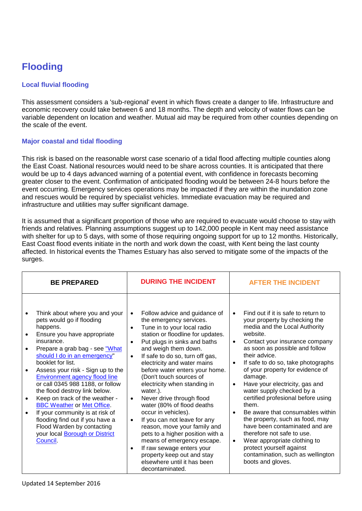# **Flooding**

#### **Local fluvial flooding**

This assessment considers a 'sub-regional' event in which flows create a danger to life. Infrastructure and economic recovery could take between 6 and 18 months. The depth and velocity of water flows can be variable dependent on location and weather. Mutual aid may be required from other counties depending on the scale of the event.

#### **Major coastal and tidal flooding**

This risk is based on the reasonable worst case scenario of a tidal flood affecting multiple counties along the East Coast. National resources would need to be share across counties. It is anticipated that there would be up to 4 days advanced warning of a potential event, with confidence in forecasts becoming greater closer to the event. Confirmation of anticipated flooding would be between 24-8 hours before the event occurring. Emergency services operations may be impacted if they are within the inundation zone and rescues would be required by specialist vehicles. Immediate evacuation may be required and infrastructure and utilities may suffer significant damage.

It is assumed that a significant proportion of those who are required to evacuate would choose to stay with friends and relatives. Planning assumptions suggest up to 142,000 people in Kent may need assistance with shelter for up to 5 days, with some of those requiring ongoing support for up to 12 months. Historically, East Coast flood events initiate in the north and work down the coast, with Kent being the last county affected. In historical events the Thames Estuary has also served to mitigate some of the impacts of the surges.

| <b>BE PREPARED</b>                                                                                                                                                                                                                                                                                                                                                                                                                                                                                                                                                                     | <b>DURING THE INCIDENT</b>                                                                                                                                                                                                                                                                                                                                                                                                                                                                                                                                                                                                                                                                                                                                             | <b>AFTER THE INCIDENT</b>                                                                                                                                                                                                                                                                                                                                                                                                                                                                                                                                                                                                                                                                                                                            |  |
|----------------------------------------------------------------------------------------------------------------------------------------------------------------------------------------------------------------------------------------------------------------------------------------------------------------------------------------------------------------------------------------------------------------------------------------------------------------------------------------------------------------------------------------------------------------------------------------|------------------------------------------------------------------------------------------------------------------------------------------------------------------------------------------------------------------------------------------------------------------------------------------------------------------------------------------------------------------------------------------------------------------------------------------------------------------------------------------------------------------------------------------------------------------------------------------------------------------------------------------------------------------------------------------------------------------------------------------------------------------------|------------------------------------------------------------------------------------------------------------------------------------------------------------------------------------------------------------------------------------------------------------------------------------------------------------------------------------------------------------------------------------------------------------------------------------------------------------------------------------------------------------------------------------------------------------------------------------------------------------------------------------------------------------------------------------------------------------------------------------------------------|--|
| Think about where you and your<br>pets would go if flooding<br>happens.<br>Ensure you have appropriate<br>insurance.<br>Prepare a grab bag - see "What<br>should I do in an emergency"<br>booklet for list.<br>Assess your risk - Sign up to the<br>Environment agency flood line<br>or call 0345 988 1188, or follow<br>the flood destroy link below.<br>Keep on track of the weather -<br><b>BBC Weather or Met Office.</b><br>If your community is at risk of<br>flooding find out if you have a<br>Flood Warden by contacting<br>your local <b>Borough or District</b><br>Council. | Follow advice and guidance of<br>the emergency services.<br>Tune in to your local radio<br>$\bullet$<br>station or floodline for updates.<br>Put plugs in sinks and baths<br>$\bullet$<br>and weigh them down.<br>If safe to do so, turn off gas,<br>$\bullet$<br>electricity and water mains<br>before water enters your home.<br>(Don't touch sources of<br>electricity when standing in<br>water.).<br>Never drive through flood<br>$\bullet$<br>water (80% of flood deaths<br>occur in vehicles).<br>If you can not leave for any<br>$\bullet$<br>reason, move your family and<br>pets to a higher position with a<br>means of emergency escape.<br>If raw sewage enters your<br>٠<br>property keep out and stay<br>elsewhere until it has been<br>decontaminated. | Find out if it is safe to return to<br>$\bullet$<br>your property by checking the<br>media and the Local Authority<br>website.<br>Contact your insurance company<br>$\bullet$<br>as soon as possible and follow<br>their advice.<br>If safe to do so, take photographs<br>$\bullet$<br>of your property for evidence of<br>damage.<br>Have your electricity, gas and<br>$\bullet$<br>water supply checked by a<br>certified profesional before using<br>them.<br>Be aware that consumables within<br>$\bullet$<br>the property, such as food, may<br>have been contaminated and are<br>therefore not safe to use.<br>Wear appropriate clothing to<br>$\bullet$<br>protect yourself against<br>contamination, such as wellington<br>boots and gloves. |  |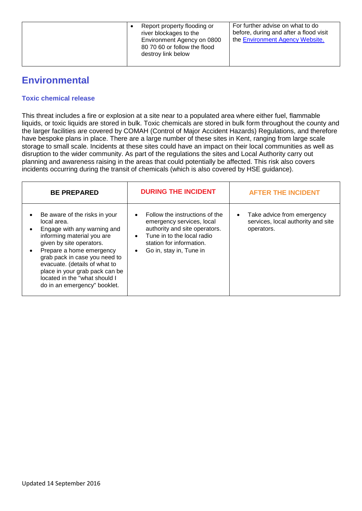| Report property flooding or<br>river blockages to the<br>Environment Agency on 0800<br>80 70 60 or follow the flood<br>destroy link below | For further advise on what to do<br>before, during and after a flood visit<br>the Environment Agency Website. |
|-------------------------------------------------------------------------------------------------------------------------------------------|---------------------------------------------------------------------------------------------------------------|
|-------------------------------------------------------------------------------------------------------------------------------------------|---------------------------------------------------------------------------------------------------------------|

## **Environmental**

#### **Toxic chemical release**

This threat includes a fire or explosion at a site near to a populated area where either fuel, flammable liquids, or toxic liquids are stored in bulk. Toxic chemicals are stored in bulk form throughout the county and the larger facilities are covered by COMAH (Control of Major Accident Hazards) Regulations, and therefore have bespoke plans in place. There are a large number of these sites in Kent, ranging from large scale storage to small scale. Incidents at these sites could have an impact on their local communities as well as disruption to the wider community. As part of the regulations the sites and Local Authority carry out planning and awareness raising in the areas that could potentially be affected. This risk also covers incidents occurring during the transit of chemicals (which is also covered by HSE guidance).

| <b>BE PREPARED</b>                                                                                                                                                                                                                                                                                                                     | <b>DURING THE INCIDENT</b>                                                                                                                                                        | <b>AFTER THE INCIDENT</b>                                                      |
|----------------------------------------------------------------------------------------------------------------------------------------------------------------------------------------------------------------------------------------------------------------------------------------------------------------------------------------|-----------------------------------------------------------------------------------------------------------------------------------------------------------------------------------|--------------------------------------------------------------------------------|
| Be aware of the risks in your<br>local area.<br>Engage with any warning and<br>informing material you are<br>given by site operators.<br>Prepare a home emergency<br>grab pack in case you need to<br>evacuate. (details of what to<br>place in your grab pack can be<br>located in the "what should I<br>do in an emergency" booklet. | Follow the instructions of the<br>emergency services, local<br>authority and site operators.<br>Tune in to the local radio<br>station for information.<br>Go in, stay in, Tune in | Take advice from emergency<br>services, local authority and site<br>operators. |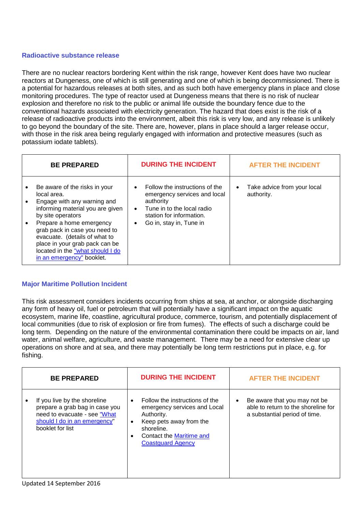#### **Radioactive substance release**

There are no nuclear reactors bordering Kent within the risk range, however Kent does have two nuclear reactors at Dungeness, one of which is still generating and one of which is being decommissioned. There is a potential for hazardous releases at both sites, and as such both have emergency plans in place and close monitoring procedures. The type of reactor used at Dungeness means that there is no risk of nuclear explosion and therefore no risk to the public or animal life outside the boundary fence due to the conventional hazards associated with electricity generation. The hazard that does exist is the risk of a release of radioactive products into the environment, albeit this risk is very low, and any release is unlikely to go beyond the boundary of the site. There are, however, plans in place should a larger release occur, with those in the risk area being regularly engaged with information and protective measures (such as potassium iodate tablets).

| <b>BE PREPARED</b>                                                                                                                                                                                                                                                                                                                    | <b>DURING THE INCIDENT</b>                                                                                                                                                                              | <b>AFTER THE INCIDENT</b>                              |  |  |
|---------------------------------------------------------------------------------------------------------------------------------------------------------------------------------------------------------------------------------------------------------------------------------------------------------------------------------------|---------------------------------------------------------------------------------------------------------------------------------------------------------------------------------------------------------|--------------------------------------------------------|--|--|
| Be aware of the risks in your<br>local area.<br>Engage with any warning and<br>informing material you are given<br>by site operators<br>Prepare a home emergency<br>grab pack in case you need to<br>evacuate. (details of what to<br>place in your grab pack can be<br>located in the "what should I do<br>in an emergency" booklet. | Follow the instructions of the<br>$\bullet$<br>emergency services and local<br>authority<br>Tune in to the local radio<br>$\bullet$<br>station for information.<br>Go in, stay in, Tune in<br>$\bullet$ | Take advice from your local<br>$\bullet$<br>authority. |  |  |

#### **Major Maritime Pollution Incident**

This risk assessment considers incidents occurring from ships at sea, at anchor, or alongside discharging any form of heavy oil, fuel or petroleum that will potentially have a significant impact on the aquatic ecosystem, marine life, coastline, agricultural produce, commerce, tourism, and potentially displacement of local communities (due to risk of explosion or fire from fumes). The effects of such a discharge could be long term. Depending on the nature of the environmental contamination there could be impacts on air, land water, animal welfare, agriculture, and waste management. There may be a need for extensive clear up operations on shore and at sea, and there may potentially be long term restrictions put in place, e.g. for fishing.

| <b>BE PREPARED</b>                                                                                                                                 |           | <b>DURING THE INCIDENT</b>                                                                                                                                                    |           | <b>AFTER THE INCIDENT</b>                                                                            |
|----------------------------------------------------------------------------------------------------------------------------------------------------|-----------|-------------------------------------------------------------------------------------------------------------------------------------------------------------------------------|-----------|------------------------------------------------------------------------------------------------------|
| If you live by the shoreline<br>prepare a grab bag in case you<br>need to evacuate - see "What<br>should I do in an emergency"<br>booklet for list | $\bullet$ | Follow the instructions of the<br>emergency services and Local<br>Authority.<br>Keep pets away from the<br>shoreline.<br>Contact the Maritime and<br><b>Coastguard Agency</b> | $\bullet$ | Be aware that you may not be<br>able to return to the shoreline for<br>a substantial period of time. |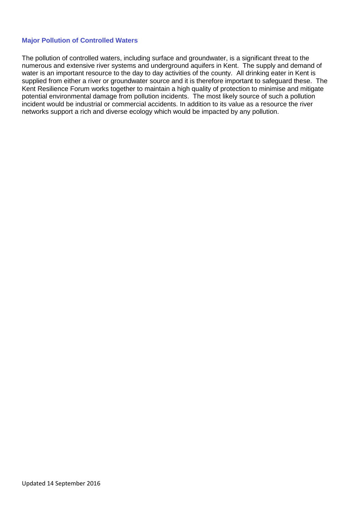#### **Major Pollution of Controlled Waters**

The pollution of controlled waters, including surface and groundwater, is a significant threat to the numerous and extensive river systems and underground aquifers in Kent. The supply and demand of water is an important resource to the day to day activities of the county. All drinking eater in Kent is supplied from either a river or groundwater source and it is therefore important to safeguard these. The Kent Resilience Forum works together to maintain a high quality of protection to minimise and mitigate potential environmental damage from pollution incidents. The most likely source of such a pollution incident would be industrial or commercial accidents. In addition to its value as a resource the river networks support a rich and diverse ecology which would be impacted by any pollution.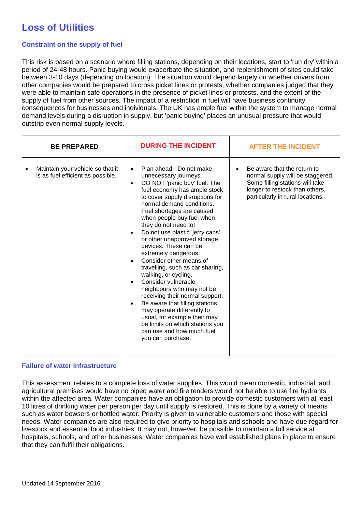# **Loss of Utilities**

#### **Constraint on the supply of fuel**

This risk is based on a scenario where filling stations, depending on their locations, start to 'run dry' within a period of 24-48 hours. Panic buying would exacerbate the situation, and replenishment of sites could take between 3-10 days (depending on location). The situation would depend largely on whether drivers from other companies would be prepared to cross picket lines or protests, whether companies judged that they were able to maintain safe operations in the presence of picket lines or protests, and the extent of the supply of fuel from other sources. The impact of a restriction in fuel will have business continuity consequences for businesses and individuals. The UK has ample fuel within the system to manage normal demand levels during a disruption in supply, but 'panic buying' places an unusual pressure that would outstrip even normal supply levels.

| <b>BE PREPARED</b> |                                                                       | <b>DURING THE INCIDENT</b>                       |                                                                                                                                                                                                                                                                                                                                                                                                                                                                                                                                                                                                                                                                                                                                                           |  | <b>AFTER THE INCIDENT</b>                                                                                                                                                |  |  |
|--------------------|-----------------------------------------------------------------------|--------------------------------------------------|-----------------------------------------------------------------------------------------------------------------------------------------------------------------------------------------------------------------------------------------------------------------------------------------------------------------------------------------------------------------------------------------------------------------------------------------------------------------------------------------------------------------------------------------------------------------------------------------------------------------------------------------------------------------------------------------------------------------------------------------------------------|--|--------------------------------------------------------------------------------------------------------------------------------------------------------------------------|--|--|
|                    | Maintain your vehicle so that it<br>is as fuel efficient as possible. | $\bullet$<br>$\bullet$<br>$\bullet$<br>$\bullet$ | Plan ahead - Do not make<br>unnecessary journeys.<br>DO NOT 'panic buy' fuel. The<br>fuel economy has ample stock<br>to cover supply disruptions for<br>normal demand conditions.<br>Fuel shortages are caused<br>when people buy fuel when<br>they do not need to!<br>Do not use plastic 'jerry cans'<br>or other unapproved storage<br>devices. These can be<br>extremely dangerous.<br>Consider other means of<br>travelling, such as car sharing,<br>walking, or cycling.<br>Consider vulnerable<br>neighbours who may not be<br>receiving their normal support.<br>Be aware that filling stations<br>may operate differently to<br>usual, for example their may<br>be limits on which stations you<br>can use and how much fuel<br>you can purchase. |  | Be aware that the return to<br>normal supply will be staggered.<br>Some filling stations will take<br>longer to restock than others,<br>particularly in rural locations. |  |  |

#### **Failure of water infrastructure**

This assessment relates to a complete loss of water supplies. This would mean domestic, industrial, and agricultural premises would have no piped water and fire tenders would not be able to use fire hydrants within the affected area. Water companies have an obligation to provide domestic customers with at least 10 litres of drinking water per person per day until supply is restored. This is done by a variety of means such as water bowsers or bottled water. Priority is given to vulnerable customers and those with special needs. Water companies are also required to give priority to hospitals and schools and have due regard for livestock and essential food industries. It may not, however, be possible to maintain a full service at hospitals, schools, and other businesses. Water companies have well established plans in place to ensure that they can fulfil their obligations.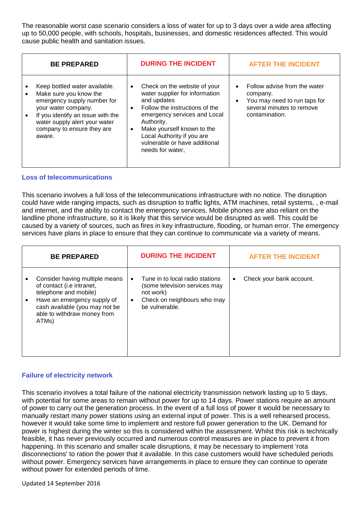The reasonable worst case scenario considers a loss of water for up to 3 days over a wide area affecting up to 50,000 people, with schools, hospitals, businesses, and domestic residences affected. This would cause public health and sanitation issues.

| <b>BE PREPARED</b>                                                                                                                                                                                                          |                        | <b>DURING THE INCIDENT</b>                                                                                                                                                                                                                                                     |                        | <b>AFTER THE INCIDENT</b>                                                                                               |
|-----------------------------------------------------------------------------------------------------------------------------------------------------------------------------------------------------------------------------|------------------------|--------------------------------------------------------------------------------------------------------------------------------------------------------------------------------------------------------------------------------------------------------------------------------|------------------------|-------------------------------------------------------------------------------------------------------------------------|
| Keep bottled water available.<br>Make sure you know the<br>emergency supply number for<br>your water company.<br>If you identify an issue with the<br>water supply alert your water<br>company to ensure they are<br>aware. | $\bullet$<br>$\bullet$ | Check on the website of your<br>water supplier for information<br>and updates<br>Follow the instructions of the<br>emergency services and Local<br>Authority.<br>Make yourself known to the<br>Local Authority if you are<br>vulnerable or have additional<br>needs for water, | $\bullet$<br>$\bullet$ | Follow advise from the water<br>company.<br>You may need to run taps for<br>several minutes to remove<br>contamination. |

#### **Loss of telecommunications**

This scenario involves a full loss of the telecommunications infrastructure with no notice. The disruption could have wide ranging impacts, such as disruption to traffic lights, ATM machines, retail systems, , e-mail and internet, and the ability to contact the emergency services. Mobile phones are also reliant on the landline phone infrastructure, so it is likely that this service would be disrupted as well. This could be caused by a variety of sources, such as fires in key infrastructure, flooding, or human error. The emergency services have plans in place to ensure that they can continue to communicate via a variety of means.

| <b>BE PREPARED</b>                                                                                                                                                                            |                        | <b>DURING THE INCIDENT</b>                                                                                                     |   | <b>AFTER THE INCIDENT</b> |
|-----------------------------------------------------------------------------------------------------------------------------------------------------------------------------------------------|------------------------|--------------------------------------------------------------------------------------------------------------------------------|---|---------------------------|
| Consider having multiple means<br>of contact (i.e intranet,<br>telephone and mobile)<br>Have an emergency supply of<br>cash available (you may not be<br>able to withdraw money from<br>ATMs) | $\bullet$<br>$\bullet$ | Tune in to local radio stations<br>(some television services may<br>not work)<br>Check on neighbours who may<br>be vulnerable. | ٠ | Check your bank account.  |

#### **Failure of electricity network**

This scenario involves a total failure of the national electricity transmission network lasting up to 5 days, with potential for some areas to remain without power for up to 14 days. Power stations require an amount of power to carry out the generation process. In the event of a full loss of power it would be necessary to manually restart many power stations using an external input of power. This is a well rehearsed process, however it would take some time to implement and restore full power generation to the UK. Demand for power is highest during the winter so this is considered within the assessment. Whilst this risk is technically feasible, it has never previously occurred and numerous control measures are in place to prevent it from happening. In this scenario and smaller scale disruptions, it may be necessary to implement 'rota disconnections' to ration the power that it available. In this case customers would have scheduled periods without power. Emergency services have arrangements in place to ensure they can continue to operate without power for extended periods of time.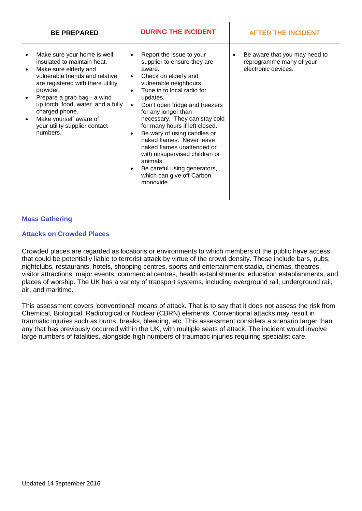| <b>BE PREPARED</b>                                                                                                                                                                                                                                                                                                                                              | <b>DURING THE INCIDENT</b>                                                                                                                                                                                                                                                                                                                                                                                                                                                                                                                                                               | <b>AFTER THE INCIDENT</b>                                                                     |
|-----------------------------------------------------------------------------------------------------------------------------------------------------------------------------------------------------------------------------------------------------------------------------------------------------------------------------------------------------------------|------------------------------------------------------------------------------------------------------------------------------------------------------------------------------------------------------------------------------------------------------------------------------------------------------------------------------------------------------------------------------------------------------------------------------------------------------------------------------------------------------------------------------------------------------------------------------------------|-----------------------------------------------------------------------------------------------|
| Make sure your home is well<br>insulated to maintain heat.<br>Make sure elderly and<br>$\bullet$<br>vulnerable friends and relative<br>are registered with there utility<br>provider.<br>Prepare a grab bag - a wind<br>up torch, food, water and a fully<br>charged phone.<br>Make yourself aware of<br>$\bullet$<br>your utility supplier contact<br>numbers. | Report the issue to your<br>$\bullet$<br>supplier to ensure they are<br>aware.<br>Check on elderly and<br>$\bullet$<br>vulnerable neighbours.<br>Tune in to local radio for<br>$\bullet$<br>updates.<br>Don't open fridge and freezers<br>$\bullet$<br>for any longer than<br>necessary. They can stay cold<br>for many hours if left closed.<br>Be wary of using candles or<br>$\bullet$<br>naked flames. Never leave<br>naked flames unattended or<br>with unsupervised children or<br>animals.<br>Be careful using generators,<br>$\bullet$<br>which can give off Carbon<br>monoxide. | Be aware that you may need to<br>$\bullet$<br>reprogramme many of your<br>electronic devices. |

#### **Mass Gathering**

#### **Attacks on Crowded Places**

Crowded places are regarded as locations or environments to which members of the public have access that could be potentially liable to terrorist attack by virtue of the crowd density. These include bars, pubs, nightclubs, restaurants, hotels, shopping centres, sports and entertainment stadia, cinemas, theatres, visitor attractions, major events, commercial centres, health establishments, education establishments, and places of worship. The UK has a variety of transport systems, including overground rail, underground rail, air, and maritime.

This assessment covers 'conventional' means of attack. That is to say that it does not assess the risk from Chemical, Biological, Radiological or Nuclear (CBRN) elements. Conventional attacks may result in traumatic injuries such as burns, breaks, bleeding, etc. This assessment considers a scenario larger than any that has previously occurred within the UK, with multiple seats of attack. The incident would involve large numbers of fatalities, alongside high numbers of traumatic injuries requiring specialist care.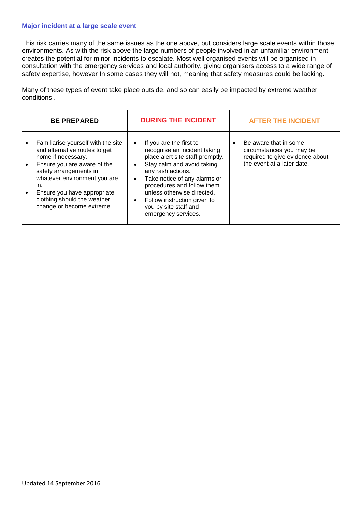#### **Major incident at a large scale event**

This risk carries many of the same issues as the one above, but considers large scale events within those environments. As with the risk above the large numbers of people involved in an unfamiliar environment creates the potential for minor incidents to escalate. Most well organised events will be organised in consultation with the emergency services and local authority, giving organisers access to a wide range of safety expertise, however In some cases they will not, meaning that safety measures could be lacking.

Many of these types of event take place outside, and so can easily be impacted by extreme weather conditions .

| <b>BE PREPARED</b><br><b>AFTER THE INCIDENT</b>                                                                                                                                                                                                                                                                                                                                                                                                                                                                                                                                                                                                                                                                                                                               |  |
|-------------------------------------------------------------------------------------------------------------------------------------------------------------------------------------------------------------------------------------------------------------------------------------------------------------------------------------------------------------------------------------------------------------------------------------------------------------------------------------------------------------------------------------------------------------------------------------------------------------------------------------------------------------------------------------------------------------------------------------------------------------------------------|--|
| Familiarise yourself with the site<br>Be aware that in some<br>If you are the first to<br>$\bullet$<br>and alternative routes to get<br>recognise an incident taking<br>circumstances you may be<br>required to give evidence about<br>place alert site staff promptly.<br>home if necessary.<br>the event at a later date.<br>Stay calm and avoid taking<br>Ensure you are aware of the<br>$\bullet$<br>safety arrangements in<br>any rash actions.<br>whatever environment you are<br>Take notice of any alarms or<br>$\bullet$<br>procedures and follow them<br>in.<br>unless otherwise directed.<br>Ensure you have appropriate<br>clothing should the weather<br>Follow instruction given to<br>change or become extreme<br>you by site staff and<br>emergency services. |  |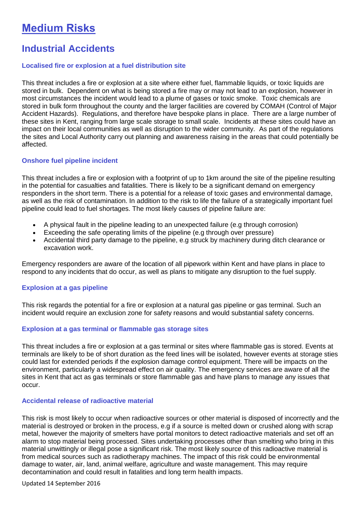# **Medium Risks**

### **Industrial Accidents**

#### **Localised fire or explosion at a fuel distribution site**

This threat includes a fire or explosion at a site where either fuel, flammable liquids, or toxic liquids are stored in bulk. Dependent on what is being stored a fire may or may not lead to an explosion, however in most circumstances the incident would lead to a plume of gases or toxic smoke. Toxic chemicals are stored in bulk form throughout the county and the larger facilities are covered by COMAH (Control of Major Accident Hazards). Regulations, and therefore have bespoke plans in place. There are a large number of these sites in Kent, ranging from large scale storage to small scale. Incidents at these sites could have an impact on their local communities as well as disruption to the wider community. As part of the regulations the sites and Local Authority carry out planning and awareness raising in the areas that could potentially be affected.

#### **Onshore fuel pipeline incident**

This threat includes a fire or explosion with a footprint of up to 1km around the site of the pipeline resulting in the potential for casualties and fatalities. There is likely to be a significant demand on emergency responders in the short term. There is a potential for a release of toxic gases and environmental damage, as well as the risk of contamination. In addition to the risk to life the failure of a strategically important fuel pipeline could lead to fuel shortages. The most likely causes of pipeline failure are:

- A physical fault in the pipeline leading to an unexpected failure (e.g through corrosion)
- Exceeding the safe operating limits of the pipeline (e.g through over pressure)
- Accidental third party damage to the pipeline, e.g struck by machinery during ditch clearance or excavation work.

Emergency responders are aware of the location of all pipework within Kent and have plans in place to respond to any incidents that do occur, as well as plans to mitigate any disruption to the fuel supply.

#### **Explosion at a gas pipeline**

This risk regards the potential for a fire or explosion at a natural gas pipeline or gas terminal. Such an incident would require an exclusion zone for safety reasons and would substantial safety concerns.

#### **Explosion at a gas terminal or flammable gas storage sites**

This threat includes a fire or explosion at a gas terminal or sites where flammable gas is stored. Events at terminals are likely to be of short duration as the feed lines will be isolated, however events at storage sties could last for extended periods if the explosion damage control equipment. There will be impacts on the environment, particularly a widespread effect on air quality. The emergency services are aware of all the sites in Kent that act as gas terminals or store flammable gas and have plans to manage any issues that occur.

#### **Accidental release of radioactive material**

This risk is most likely to occur when radioactive sources or other material is disposed of incorrectly and the material is destroyed or broken in the process, e.g if a source is melted down or crushed along with scrap metal, however the majority of smelters have portal monitors to detect radioactive materials and set off an alarm to stop material being processed. Sites undertaking processes other than smelting who bring in this material unwittingly or illegal pose a significant risk. The most likely source of this radioactive material is from medical sources such as radiotherapy machines. The impact of this risk could be environmental damage to water, air, land, animal welfare, agriculture and waste management. This may require decontamination and could result in fatalities and long term health impacts.

Updated 14 September 2016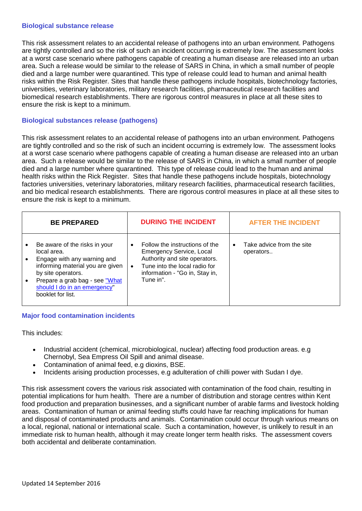#### **Biological substance release**

This risk assessment relates to an accidental release of pathogens into an urban environment. Pathogens are tightly controlled and so the risk of such an incident occurring is extremely low. The assessment looks at a worst case scenario where pathogens capable of creating a human disease are released into an urban area. Such a release would be similar to the release of SARS in China, in which a small number of people died and a large number were quarantined. This type of release could lead to human and animal health risks within the Risk Register. Sites that handle these pathogens include hospitals, biotechnology factories, universities, veterinary laboratories, military research facilities, pharmaceutical research facilities and biomedical research establishments. There are rigorous control measures in place at all these sites to ensure the risk is kept to a minimum.

#### **Biological substances release (pathogens)**

This risk assessment relates to an accidental release of pathogens into an urban environment. Pathogens are tightly controlled and so the risk of such an incident occurring is extremely low. The assessment looks at a worst case scenario where pathogens capable of creating a human disease are released into an urban area. Such a release would be similar to the release of SARS in China, in which a small number of people died and a large number where quarantined. This type of release could lead to the human and animal health risks within the Rick Register. Sites that handle these pathogens include hospitals, biotechnology factories universities, veterinary laboratories, military research facilities, pharmaceutical research facilities, and bio medical research establishments. There are rigorous control measures in place at all these sites to ensure the risk is kept to a minimum.

| <b>BE PREPARED</b>                                                                                                                                                                                                                | <b>DURING THE INCIDENT</b>                                                                                                                                                                      | <b>AFTER THE INCIDENT</b>                           |
|-----------------------------------------------------------------------------------------------------------------------------------------------------------------------------------------------------------------------------------|-------------------------------------------------------------------------------------------------------------------------------------------------------------------------------------------------|-----------------------------------------------------|
| Be aware of the risks in your<br>٠<br>local area.<br>Engage with any warning and<br>informing material you are given<br>by site operators.<br>Prepare a grab bag - see "What<br>should I do in an emergency"<br>booklet for list. | Follow the instructions of the<br>$\bullet$<br><b>Emergency Service, Local</b><br>Authority and site operators.<br>Tune into the local radio for<br>information - "Go in, Stay in,<br>Tune in". | Take advice from the site<br>$\bullet$<br>operators |

#### **Major food contamination incidents**

This includes:

- Industrial accident (chemical, microbiological, nuclear) affecting food production areas. e.g Chernobyl, Sea Empress Oil Spill and animal disease.
- Contamination of animal feed, e.g dioxins, BSE.
- Incidents arising production processes, e.g adulteration of chilli power with Sudan I dye.

This risk assessment covers the various risk associated with contamination of the food chain, resulting in potential implications for hum health. There are a number of distribution and storage centres within Kent food production and preparation businesses, and a significant number of arable farms and livestock holding areas. Contamination of human or animal feeding stuffs could have far reaching implications for human and disposal of contaminated products and animals. Contamination could occur through various means on a local, regional, national or international scale. Such a contamination, however, is unlikely to result in an immediate risk to human health, although it may create longer term health risks. The assessment covers both accidental and deliberate contamination.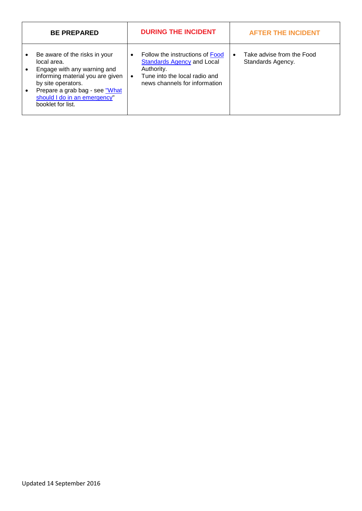| <b>BE PREPARED</b>                                                                                                                                                                                                           | <b>DURING THE INCIDENT</b>                                                                                                                                        | <b>AFTER THE INCIDENT</b>                                   |
|------------------------------------------------------------------------------------------------------------------------------------------------------------------------------------------------------------------------------|-------------------------------------------------------------------------------------------------------------------------------------------------------------------|-------------------------------------------------------------|
| Be aware of the risks in your<br>local area.<br>Engage with any warning and<br>informing material you are given<br>by site operators.<br>Prepare a grab bag - see "What<br>should I do in an emergency"<br>booklet for list. | Follow the instructions of Food<br>$\bullet$<br><b>Standards Agency and Local</b><br>Authority.<br>Tune into the local radio and<br>news channels for information | Take advise from the Food<br>$\bullet$<br>Standards Agency. |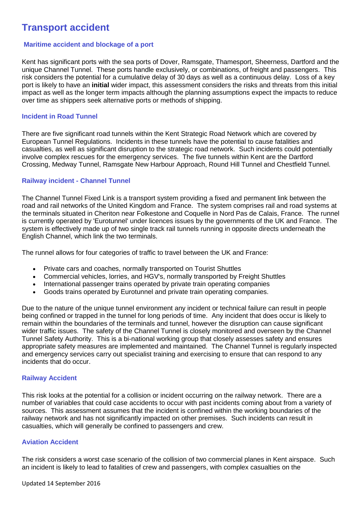### **Transport accident**

#### **Maritime accident and blockage of a port**

Kent has significant ports with the sea ports of Dover, Ramsgate, Thamesport, Sheerness, Dartford and the unique Channel Tunnel. These ports handle exclusively, or combinations, of freight and passengers. This risk considers the potential for a cumulative delay of 30 days as well as a continuous delay. Loss of a key port is likely to have an **initial** wider impact, this assessment considers the risks and threats from this initial impact as well as the longer term impacts although the planning assumptions expect the impacts to reduce over time as shippers seek alternative ports or methods of shipping.

#### **Incident in Road Tunnel**

There are five significant road tunnels within the Kent Strategic Road Network which are covered by European Tunnel Regulations. Incidents in these tunnels have the potential to cause fatalities and casualties, as well as significant disruption to the strategic road network. Such incidents could potentially involve complex rescues for the emergency services. The five tunnels within Kent are the Dartford Crossing, Medway Tunnel, Ramsgate New Harbour Approach, Round Hill Tunnel and Chestfield Tunnel.

#### **Railway incident - Channel Tunnel**

The Channel Tunnel Fixed Link is a transport system providing a fixed and permanent link between the road and rail networks of the United Kingdom and France. The system comprises rail and road systems at the terminals situated in Cheriton near Folkestone and Coquelle in Nord Pas de Calais, France. The runnel is currently operated by 'Eurotunnel' under licences issues by the governments of the UK and France. The system is effectively made up of two single track rail tunnels running in opposite directs underneath the English Channel, which link the two terminals.

The runnel allows for four categories of traffic to travel between the UK and France:

- Private cars and coaches, normally transported on Tourist Shuttles
- Commercial vehicles, lorries, and HGV's, normally transported by Freight Shuttles
- International passenger trains operated by private train operating companies
- Goods trains operated by Eurotunnel and private train operating companies.

Due to the nature of the unique tunnel environment any incident or technical failure can result in people being confined or trapped in the tunnel for long periods of time. Any incident that does occur is likely to remain within the boundaries of the terminals and tunnel, however the disruption can cause significant wider traffic issues. The safety of the Channel Tunnel is closely monitored and overseen by the Channel Tunnel Safety Authority. This is a bi-national working group that closely assesses safety and ensures appropriate safety measures are implemented and maintained. The Channel Tunnel is regularly inspected and emergency services carry out specialist training and exercising to ensure that can respond to any incidents that do occur.

#### **Railway Accident**

This risk looks at the potential for a collision or incident occurring on the railway network. There are a number of variables that could case accidents to occur with past incidents coming about from a variety of sources. This assessment assumes that the incident is confined within the working boundaries of the railway network and has not significantly impacted on other premises. Such incidents can result in casualties, which will generally be confined to passengers and crew.

#### **Aviation Accident**

The risk considers a worst case scenario of the collision of two commercial planes in Kent airspace. Such an incident is likely to lead to fatalities of crew and passengers, with complex casualties on the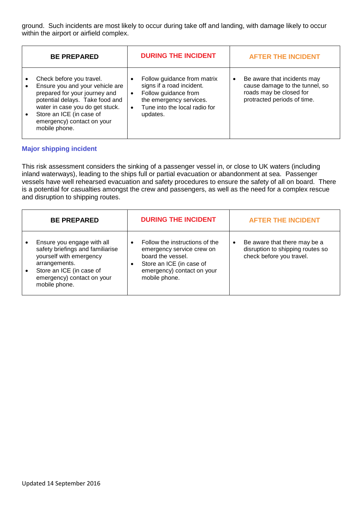ground. Such incidents are most likely to occur during take off and landing, with damage likely to occur within the airport or airfield complex.

| <b>BE PREPARED</b>                                                                                                                                                                                                                            | <b>DURING THE INCIDENT</b>                                                                                                                                                         | <b>AFTER THE INCIDENT</b>                                                                                                            |
|-----------------------------------------------------------------------------------------------------------------------------------------------------------------------------------------------------------------------------------------------|------------------------------------------------------------------------------------------------------------------------------------------------------------------------------------|--------------------------------------------------------------------------------------------------------------------------------------|
| Check before you travel.<br>Ensure you and your vehicle are<br>prepared for your journey and<br>potential delays. Take food and<br>water in case you do get stuck.<br>Store an ICE (in case of<br>emergency) contact on your<br>mobile phone. | Follow guidance from matrix<br>signs if a road incident.<br>Follow guidance from<br>$\bullet$<br>the emergency services.<br>Tune into the local radio for<br>$\bullet$<br>updates. | Be aware that incidents may<br>$\bullet$<br>cause damage to the tunnel, so<br>roads may be closed for<br>protracted periods of time. |

#### **Major shipping incident**

This risk assessment considers the sinking of a passenger vessel in, or close to UK waters (including inland waterways), leading to the ships full or partial evacuation or abandonment at sea. Passenger vessels have well rehearsed evacuation and safety procedures to ensure the safety of all on board. There is a potential for casualties amongst the crew and passengers, as well as the need for a complex rescue and disruption to shipping routes.

| <b>BE PREPARED</b>                                                                                                                                                                    | <b>DURING THE INCIDENT</b>                                                                                                                                               | <b>AFTER THE INCIDENT</b>                                                                                 |
|---------------------------------------------------------------------------------------------------------------------------------------------------------------------------------------|--------------------------------------------------------------------------------------------------------------------------------------------------------------------------|-----------------------------------------------------------------------------------------------------------|
| Ensure you engage with all<br>safety briefings and familiarise<br>yourself with emergency<br>arrangements.<br>Store an ICE (in case of<br>emergency) contact on your<br>mobile phone. | Follow the instructions of the<br>$\bullet$<br>emergency service crew on<br>board the vessel.<br>Store an ICE (in case of<br>emergency) contact on your<br>mobile phone. | Be aware that there may be a<br>$\bullet$<br>disruption to shipping routes so<br>check before you travel. |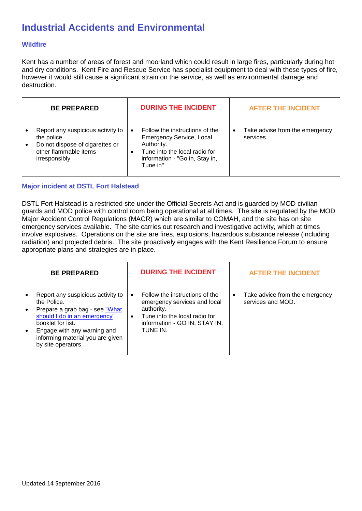## **Industrial Accidents and Environmental**

#### **Wildfire**

Kent has a number of areas of forest and moorland which could result in large fires, particularly during hot and dry conditions. Kent Fire and Rescue Service has specialist equipment to deal with these types of fire, however it would still cause a significant strain on the service, as well as environmental damage and destruction.

| <b>BE PREPARED</b>                                                                                                                         | <b>DURING THE INCIDENT</b>                                                                                                                                     | <b>AFTER THE INCIDENT</b>                                |
|--------------------------------------------------------------------------------------------------------------------------------------------|----------------------------------------------------------------------------------------------------------------------------------------------------------------|----------------------------------------------------------|
| Report any suspicious activity to<br>the police.<br>Do not dispose of cigarettes or<br>$\bullet$<br>other flammable items<br>irresponsibly | Follow the instructions of the<br><b>Emergency Service, Local</b><br>Authority.<br>Tune into the local radio for<br>information - "Go in, Stay in,<br>Tune in" | Take advise from the emergency<br>$\bullet$<br>services. |

#### **Major incident at DSTL Fort Halstead**

DSTL Fort Halstead is a restricted site under the Official Secrets Act and is guarded by MOD civilian guards and MOD police with control room being operational at all times. The site is regulated by the MOD Major Accident Control Regulations (MACR) which are similar to COMAH, and the site has on site emergency services available. The site carries out research and investigative activity, which at times involve explosives. Operations on the site are fires, explosions, hazardous substance release (including radiation) and projected debris. The site proactively engages with the Kent Resilience Forum to ensure appropriate plans and strategies are in place.

| <b>BE PREPARED</b>                                                                                                                                                                                                               | <b>DURING THE INCIDENT</b>                                                                                                                                              | <b>AFTER THE INCIDENT</b>                                        |
|----------------------------------------------------------------------------------------------------------------------------------------------------------------------------------------------------------------------------------|-------------------------------------------------------------------------------------------------------------------------------------------------------------------------|------------------------------------------------------------------|
| Report any suspicious activity to<br>the Police.<br>Prepare a grab bag - see "What<br>should I do in an emergency"<br>booklet for list.<br>Engage with any warning and<br>informing material you are given<br>by site operators. | Follow the instructions of the<br>emergency services and local<br>authority.<br>Tune into the local radio for<br>$\bullet$<br>information - GO IN, STAY IN,<br>TUNE IN. | Take advice from the emergency<br>$\bullet$<br>services and MOD. |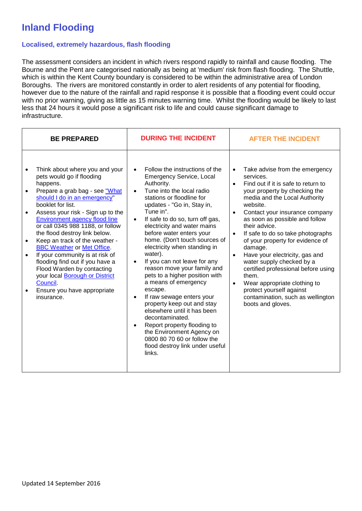# **Inland Flooding**

#### **Localised, extremely hazardous, flash flooding**

The assessment considers an incident in which rivers respond rapidly to rainfall and cause flooding. The Bourne and the Pent are categorised nationally as being at 'medium' risk from flash flooding. The Shuttle, which is within the Kent County boundary is considered to be within the administrative area of London Boroughs. The rivers are monitored constantly in order to alert residents of any potential for flooding, however due to the nature of the rainfall and rapid response it is possible that a flooding event could occur with no prior warning, giving as little as 15 minutes warning time. Whilst the flooding would be likely to last less that 24 hours it would pose a significant risk to life and could cause significant damage to infrastructure.

| <b>BE PREPARED</b>                                                                                                                                                                                                                                                                                                                                                                                                                                                                                                                                                                           | <b>DURING THE INCIDENT</b>                                                                                                                                                                                                                                                                                                                                                                                                                                                                                                                                                                                                                                                                                                                                                                                               | <b>AFTER THE INCIDENT</b>                                                                                                                                                                                                                                                                                                                                                                                                                                                                                                                                                                                                                                    |
|----------------------------------------------------------------------------------------------------------------------------------------------------------------------------------------------------------------------------------------------------------------------------------------------------------------------------------------------------------------------------------------------------------------------------------------------------------------------------------------------------------------------------------------------------------------------------------------------|--------------------------------------------------------------------------------------------------------------------------------------------------------------------------------------------------------------------------------------------------------------------------------------------------------------------------------------------------------------------------------------------------------------------------------------------------------------------------------------------------------------------------------------------------------------------------------------------------------------------------------------------------------------------------------------------------------------------------------------------------------------------------------------------------------------------------|--------------------------------------------------------------------------------------------------------------------------------------------------------------------------------------------------------------------------------------------------------------------------------------------------------------------------------------------------------------------------------------------------------------------------------------------------------------------------------------------------------------------------------------------------------------------------------------------------------------------------------------------------------------|
| Think about where you and your<br>pets would go if flooding<br>happens.<br>Prepare a grab bag - see "What<br>should I do in an emergency"<br>booklet for list.<br>Assess your risk - Sign up to the<br>Environment agency flood line<br>or call 0345 988 1188, or follow<br>the flood destroy link below.<br>Keep an track of the weather -<br>$\bullet$<br><b>BBC Weather or Met Office.</b><br>If your community is at risk of<br>flooding find out if you have a<br>Flood Warden by contacting<br>your local Borough or District<br>Council.<br>Ensure you have appropriate<br>insurance. | Follow the instructions of the<br>$\bullet$<br><b>Emergency Service, Local</b><br>Authority.<br>Tune into the local radio<br>$\bullet$<br>stations or floodline for<br>updates - "Go in, Stay in,<br>Tune in".<br>If safe to do so, turn off gas,<br>$\bullet$<br>electricity and water mains<br>before water enters your<br>home. (Don't touch sources of<br>electricity when standing in<br>water).<br>If you can not leave for any<br>$\bullet$<br>reason move your family and<br>pets to a higher position with<br>a means of emergency<br>escape.<br>If raw sewage enters your<br>$\bullet$<br>property keep out and stay<br>elsewhere until it has been<br>decontaminated.<br>Report property flooding to<br>the Environment Agency on<br>0800 80 70 60 or follow the<br>flood destroy link under useful<br>links. | Take advise from the emergency<br>$\bullet$<br>services.<br>Find out if it is safe to return to<br>$\bullet$<br>your property by checking the<br>media and the Local Authority<br>website.<br>Contact your insurance company<br>$\bullet$<br>as soon as possible and follow<br>their advice.<br>If safe to do so take photographs<br>$\bullet$<br>of your property for evidence of<br>damage.<br>Have your electricity, gas and<br>$\bullet$<br>water supply checked by a<br>certified professional before using<br>them.<br>Wear appropriate clothing to<br>$\bullet$<br>protect yourself against<br>contamination, such as wellington<br>boots and gloves. |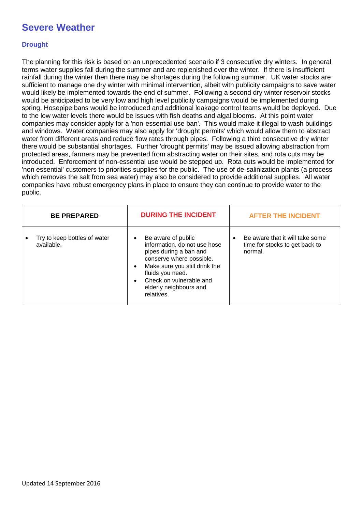### **Severe Weather**

#### **Drought**

The planning for this risk is based on an unprecedented scenario if 3 consecutive dry winters. In general terms water supplies fall during the summer and are replenished over the winter. If there is insufficient rainfall during the winter then there may be shortages during the following summer. UK water stocks are sufficient to manage one dry winter with minimal intervention, albeit with publicity campaigns to save water would likely be implemented towards the end of summer. Following a second dry winter reservoir stocks would be anticipated to be very low and high level publicity campaigns would be implemented during spring. Hosepipe bans would be introduced and additional leakage control teams would be deployed. Due to the low water levels there would be issues with fish deaths and algal blooms. At this point water companies may consider apply for a 'non-essential use ban'. This would make it illegal to wash buildings and windows. Water companies may also apply for 'drought permits' which would allow them to abstract water from different areas and reduce flow rates through pipes. Following a third consecutive dry winter there would be substantial shortages. Further 'drought permits' may be issued allowing abstraction from protected areas, farmers may be prevented from abstracting water on their sites, and rota cuts may be introduced. Enforcement of non-essential use would be stepped up. Rota cuts would be implemented for 'non essential' customers to priorities supplies for the public. The use of de-salinization plants (a process which removes the salt from sea water) may also be considered to provide additional supplies. All water companies have robust emergency plans in place to ensure they can continue to provide water to the public.

| <b>BE PREPARED</b>                         | <b>DURING THE INCIDENT</b>                                                                                                                                                                                                                                 | <b>AFTER THE INCIDENT</b>                                                                 |
|--------------------------------------------|------------------------------------------------------------------------------------------------------------------------------------------------------------------------------------------------------------------------------------------------------------|-------------------------------------------------------------------------------------------|
| Try to keep bottles of water<br>available. | Be aware of public<br>$\bullet$<br>information, do not use hose<br>pipes during a ban and<br>conserve where possible.<br>Make sure you still drink the<br>fluids you need.<br>Check on vulnerable and<br>$\bullet$<br>elderly neighbours and<br>relatives. | Be aware that it will take some<br>$\bullet$<br>time for stocks to get back to<br>normal. |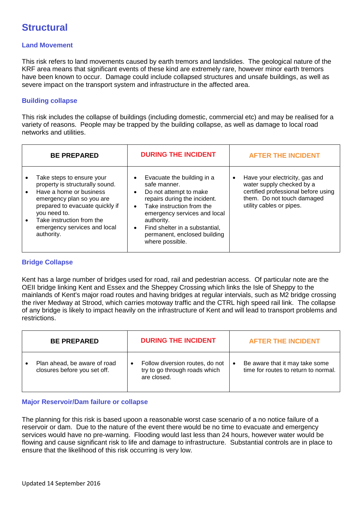### **Structural**

#### **Land Movement**

This risk refers to land movements caused by earth tremors and landslides. The geological nature of the KRF area means that significant events of these kind are extremely rare, however minor earth tremors have been known to occur. Damage could include collapsed structures and unsafe buildings, as well as severe impact on the transport system and infrastructure in the affected area.

#### **Building collapse**

This risk includes the collapse of buildings (including domestic, commercial etc) and may be realised for a variety of reasons. People may be trapped by the building collapse, as well as damage to local road networks and utilities.

| <b>BE PREPARED</b>                                                                                                                                                                                                                                 | <b>DURING THE INCIDENT</b>                                                                                                                                                                                                                                                                                               |           | <b>AFTER THE INCIDENT</b>                                                                                                                                    |
|----------------------------------------------------------------------------------------------------------------------------------------------------------------------------------------------------------------------------------------------------|--------------------------------------------------------------------------------------------------------------------------------------------------------------------------------------------------------------------------------------------------------------------------------------------------------------------------|-----------|--------------------------------------------------------------------------------------------------------------------------------------------------------------|
| Take steps to ensure your<br>property is structurally sound.<br>Have a home or business<br>emergency plan so you are<br>prepared to evacuate quickly if<br>you need to.<br>Take instruction from the<br>emergency services and local<br>authority. | Evacuate the building in a<br>$\bullet$<br>safe manner.<br>Do not attempt to make<br>$\bullet$<br>repairs during the incident.<br>Take instruction from the<br>$\bullet$<br>emergency services and local<br>authority.<br>Find shelter in a substantial,<br>$\bullet$<br>permanent, enclosed building<br>where possible. | $\bullet$ | Have your electricity, gas and<br>water supply checked by a<br>certified professional before using<br>them. Do not touch damaged<br>utility cables or pipes. |

#### **Bridge Collapse**

Kent has a large number of bridges used for road, rail and pedestrian access. Of particular note are the OEII bridge linking Kent and Essex and the Sheppey Crossing which links the Isle of Sheppy to the mainlands of Kent's major road routes and having bridges at regular intervials, such as M2 bridge crossing the river Medway at Strood, which carries motoway traffic and the CTRL high speed rail link. The collapse of any bridge is likely to impact heavily on the infrastructure of Kent and will lead to transport problems and restrictions.

| <b>BE PREPARED</b>                                           | <b>DURING THE INCIDENT</b>                                                      |           | <b>AFTER THE INCIDENT</b>                                              |
|--------------------------------------------------------------|---------------------------------------------------------------------------------|-----------|------------------------------------------------------------------------|
| Plan ahead, be aware of road<br>closures before you set off. | Follow diversion routes, do not<br>try to go through roads which<br>are closed. | $\bullet$ | Be aware that it may take some<br>time for routes to return to normal. |

#### **Major Reservoir/Dam failure or collapse**

The planning for this risk is based upoon a reasonable worst case scenario of a no notice failure of a reservoir or dam. Due to the nature of the event there would be no time to evacuate and emergency services would have no pre-warning. Flooding would last less than 24 hours, however water would be flowing and cause significant risk to life and damage to infrastructure. Substantial controls are in place to ensure that the likelihood of this risk occurring is very low.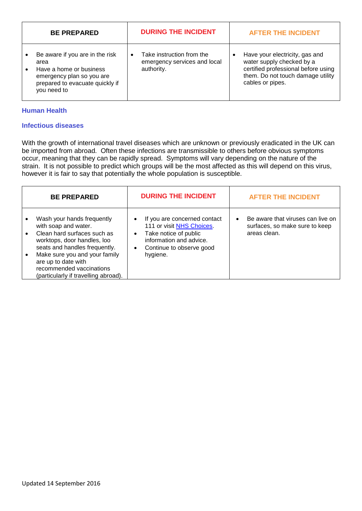| <b>BE PREPARED</b>                                                                                                                                | <b>DURING THE INCIDENT</b>                                                           | <b>AFTER THE INCIDENT</b>                                                                                                                                   |
|---------------------------------------------------------------------------------------------------------------------------------------------------|--------------------------------------------------------------------------------------|-------------------------------------------------------------------------------------------------------------------------------------------------------------|
| Be aware if you are in the risk<br>area<br>Have a home or business<br>emergency plan so you are<br>prepared to evacuate quickly if<br>you need to | Take instruction from the<br>$\bullet$<br>emergency services and local<br>authority. | Have your electricity, gas and<br>water supply checked by a<br>certified professional before using<br>them. Do not touch damage utility<br>cables or pipes. |

#### **Human Health**

#### **Infectious diseases**

With the growth of international travel diseases which are unknown or previously eradicated in the UK can be imported from abroad. Often these infections are transmissible to others before obvious symptoms occur, meaning that they can be rapidly spread. Symptoms will vary depending on the nature of the strain. It is not possible to predict which groups will be the most affected as this will depend on this virus, however it is fair to say that potentially the whole population is susceptible.

| <b>BE PREPARED</b>                                                                                                                                                                                                                                                            | <b>DURING THE INCIDENT</b>                                                                                                                                                      | <b>AFTER THE INCIDENT</b>                                                                        |
|-------------------------------------------------------------------------------------------------------------------------------------------------------------------------------------------------------------------------------------------------------------------------------|---------------------------------------------------------------------------------------------------------------------------------------------------------------------------------|--------------------------------------------------------------------------------------------------|
| Wash your hands frequently<br>with soap and water.<br>Clean hard surfaces such as<br>worktops, door handles, loo<br>seats and handles frequently.<br>Make sure you and your family<br>are up to date with<br>recommended vaccinations<br>(particularly if travelling abroad). | If you are concerned contact<br>111 or visit NHS Choices.<br>Take notice of public<br>$\bullet$<br>information and advice.<br>Continue to observe good<br>$\bullet$<br>hygiene. | Be aware that viruses can live on<br>$\bullet$<br>surfaces, so make sure to keep<br>areas clean. |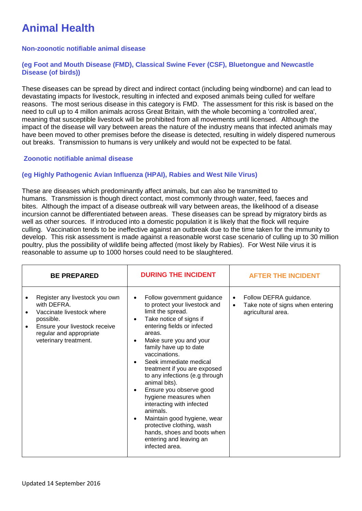# **Animal Health**

#### **Non-zoonotic notifiable animal disease**

#### **(eg Foot and Mouth Disease (FMD), Classical Swine Fever (CSF), Bluetongue and Newcastle Disease (of birds))**

These diseases can be spread by direct and indirect contact (including being windborne) and can lead to devastating impacts for livestock, resulting in infected and exposed animals being culled for welfare reasons. The most serious disease in this category is FMD. The assessment for this risk is based on the need to cull up to 4 millon animals across Great Britain, with the whole becoming a 'controlled area', meaning that susceptible livestock will be prohibited from all movements until licensed. Although the impact of the disease will vary between areas the nature of the industry means that infected animals may have been moved to other premises before the disease is detected, resulting in widely dispered numerous out breaks. Transmission to humans is very unlikely and would not be expected to be fatal.

#### **Zoonotic notifiable animal disease**

#### **(eg Highly Pathogenic Avian Influenza (HPAI), Rabies and West Nile Virus)**

These are diseases which predominantly affect animals, but can also be transmitted to humans. Transmission is though direct contact, most commonly through water, feed, faeces and bites. Although the impact of a disease outbreak will vary between areas, the likelihood of a disease incursion cannot be differentiated between areas. These diseases can be spread by migratory birds as well as other sources. If introduced into a domestic population it is likely that the flock will require culling. Vaccination tends to be ineffective against an outbreak due to the time taken for the immunity to develop. This risk assessment is made against a reasonable worst case scenario of culling up to 30 million poultry, plus the possibility of wildlife being affected (most likely by Rabies). For West Nile virus it is reasonable to assume up to 1000 horses could need to be slaughtered.

| <b>BE PREPARED</b>                                                                                                                                                           | <b>DURING THE INCIDENT</b>                                                                                                                                                                                                                                                                                                                                                                                                                                                                                                                                                                                                                                | <b>AFTER THE INCIDENT</b>                                                                                  |
|------------------------------------------------------------------------------------------------------------------------------------------------------------------------------|-----------------------------------------------------------------------------------------------------------------------------------------------------------------------------------------------------------------------------------------------------------------------------------------------------------------------------------------------------------------------------------------------------------------------------------------------------------------------------------------------------------------------------------------------------------------------------------------------------------------------------------------------------------|------------------------------------------------------------------------------------------------------------|
| Register any livestock you own<br>with DEFRA.<br>Vaccinate livestock where<br>possible.<br>Ensure your livestock receive<br>regular and appropriate<br>veterinary treatment. | Follow government guidance<br>$\bullet$<br>to protect your livestock and<br>limit the spread.<br>Take notice of signs if<br>$\bullet$<br>entering fields or infected<br>areas.<br>Make sure you and your<br>$\bullet$<br>family have up to date<br>vaccinations.<br>Seek immediate medical<br>$\bullet$<br>treatment if you are exposed<br>to any infections (e.g through<br>animal bits).<br>Ensure you observe good<br>$\bullet$<br>hygiene measures when<br>interacting with infected<br>animals.<br>Maintain good hygiene, wear<br>$\bullet$<br>protective clothing, wash<br>hands, shoes and boots when<br>entering and leaving an<br>infected area. | Follow DEFRA guidance.<br>$\bullet$<br>Take note of signs when entering<br>$\bullet$<br>agricultural area. |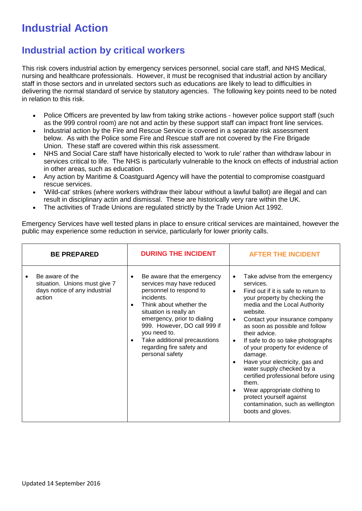# **Industrial Action**

### **Industrial action by critical workers**

This risk covers industrial action by emergency services personnel, social care staff, and NHS Medical, nursing and healthcare professionals. However, it must be recognised that industrial action by ancillary staff in those sectors and in unrelated sectors such as educations are likely to lead to difficulties in delivering the normal standard of service by statutory agencies. The following key points need to be noted in relation to this risk.

- Police Officers are prevented by law from taking strike actions however police support staff (such as the 999 control room) are not and actin by these support staff can impact front line services.
- Industrial action by the Fire and Rescue Service is covered in a separate risk assessment below. As with the Police some Fire and Rescue staff are not covered by the Fire Brigade Union. These staff are covered within this risk assessment.
- NHS and Social Care staff have historically elected to 'work to rule' rather than withdraw labour in services critical to life. The NHS is particularly vulnerable to the knock on effects of industrial action in other areas, such as education.
- Any action by Maritime & Coastguard Agency will have the potential to compromise coastguard rescue services.
- 'Wild-cat' strikes (where workers withdraw their labour without a lawful ballot) are illegal and can result in disciplinary actin and dismissal. These are historically very rare within the UK.
- The activities of Trade Unions are regulated strictly by the Trade Union Act 1992.

Emergency Services have well tested plans in place to ensure critical services are maintained, however the public may experience some reduction in service, particularly for lower priority calls.

| <b>BE PREPARED</b>                                                                          | <b>DURING THE INCIDENT</b>                                                                                                                                                                                                                                                                                                                      | <b>AFTER THE INCIDENT</b>                                                                                                                                                                                                                                                                                                                                                                                                                                                                                                                                                                                                                       |
|---------------------------------------------------------------------------------------------|-------------------------------------------------------------------------------------------------------------------------------------------------------------------------------------------------------------------------------------------------------------------------------------------------------------------------------------------------|-------------------------------------------------------------------------------------------------------------------------------------------------------------------------------------------------------------------------------------------------------------------------------------------------------------------------------------------------------------------------------------------------------------------------------------------------------------------------------------------------------------------------------------------------------------------------------------------------------------------------------------------------|
| Be aware of the<br>situation. Unions must give 7<br>days notice of any industrial<br>action | Be aware that the emergency<br>services may have reduced<br>personnel to respond to<br>incidents.<br>Think about whether the<br>$\bullet$<br>situation is really an<br>emergency, prior to dialing<br>999. However, DO call 999 if<br>you need to.<br>Take additional precaustions<br>$\bullet$<br>regarding fire safety and<br>personal safety | Take advise from the emergency<br>services.<br>Find out if it is safe to return to<br>$\bullet$<br>your property by checking the<br>media and the Local Authority<br>website.<br>Contact your insurance company<br>$\bullet$<br>as soon as possible and follow<br>their advice.<br>If safe to do so take photographs<br>$\bullet$<br>of your property for evidence of<br>damage.<br>Have your electricity, gas and<br>$\bullet$<br>water supply checked by a<br>certified professional before using<br>them.<br>Wear appropriate clothing to<br>$\bullet$<br>protect yourself against<br>contamination, such as wellington<br>boots and gloves. |